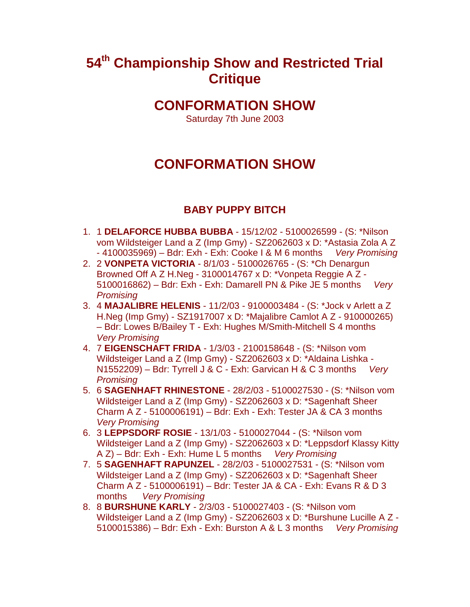# **54th Championship Show and Restricted Trial Critique**

## **CONFORMATION SHOW**

Saturday 7th June 2003

# **CONFORMATION SHOW**

## **BABY PUPPY BITCH**

- 1. 1 **DELAFORCE HUBBA BUBBA** 15/12/02 5100026599 (S: \*Nilson vom Wildsteiger Land a Z (Imp Gmy) - SZ2062603 x D: \*Astasia Zola A Z - 4100035969) – Bdr: Exh - Exh: Cooke I & M 6 months *Very Promising*
- 2. 2 **VONPETA VICTORIA** 8/1/03 5100026765 (S: \*Ch Denargun Browned Off A Z H.Neg - 3100014767 x D: \*Vonpeta Reggie A Z - 5100016862) – Bdr: Exh - Exh: Damarell PN & Pike JE 5 months *Very Promising*
- 3. 4 **MAJALIBRE HELENIS** 11/2/03 9100003484 (S: \*Jock v Arlett a Z H.Neg (Imp Gmy) - SZ1917007 x D: \*Majalibre Camlot A Z - 910000265) – Bdr: Lowes B/Bailey T - Exh: Hughes M/Smith-Mitchell S 4 months *Very Promising*
- 4. 7 **EIGENSCHAFT FRIDA** 1/3/03 2100158648 (S: \*Nilson vom Wildsteiger Land a Z (Imp Gmy) - SZ2062603 x D: \*Aldaina Lishka - N1552209) – Bdr: Tyrrell J & C - Exh: Garvican H & C 3 months *Very Promising*
- 5. 6 **SAGENHAFT RHINESTONE** 28/2/03 5100027530 (S: \*Nilson vom Wildsteiger Land a Z (Imp Gmy) - SZ2062603 x D: \*Sagenhaft Sheer Charm A Z - 5100006191) – Bdr: Exh - Exh: Tester JA & CA 3 months *Very Promising*
- 6. 3 **LEPPSDORF ROSIE** 13/1/03 5100027044 (S: \*Nilson vom Wildsteiger Land a Z (Imp Gmy) - SZ2062603 x D: \*Leppsdorf Klassy Kitty A Z) – Bdr: Exh - Exh: Hume L 5 months *Very Promising*
- 7. 5 **SAGENHAFT RAPUNZEL** 28/2/03 5100027531 (S: \*Nilson vom Wildsteiger Land a Z (Imp Gmy) - SZ2062603 x D: \*Sagenhaft Sheer Charm A Z - 5100006191) – Bdr: Tester JA & CA - Exh: Evans R & D 3 months *Very Promising*
- 8. 8 **BURSHUNE KARLY** 2/3/03 5100027403 (S: \*Nilson vom Wildsteiger Land a Z (Imp Gmy) - SZ2062603 x D: \*Burshune Lucille A Z - 5100015386) – Bdr: Exh - Exh: Burston A & L 3 months *Very Promising*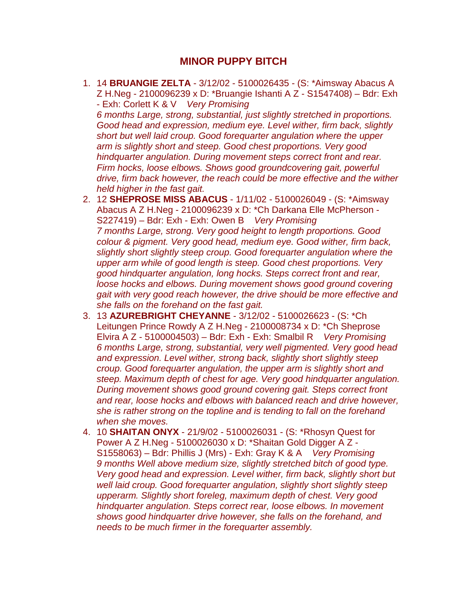#### **MINOR PUPPY BITCH**

1. 14 **BRUANGIE ZELTA** - 3/12/02 - 5100026435 - (S: \*Aimsway Abacus A Z H.Neg - 2100096239 x D: \*Bruangie Ishanti A Z - S1547408) – Bdr: Exh - Exh: Corlett K & V *Very Promising* 

*6 months Large, strong, substantial, just slightly stretched in proportions. Good head and expression, medium eye. Level wither, firm back, slightly short but well laid croup. Good forequarter angulation where the upper arm is slightly short and steep. Good chest proportions. Very good hindquarter angulation. During movement steps correct front and rear. Firm hocks, loose elbows. Shows good groundcovering gait, powerful drive, firm back however, the reach could be more effective and the wither held higher in the fast gait.* 

- 2. 12 **SHEPROSE MISS ABACUS** 1/11/02 5100026049 (S: \*Aimsway Abacus A Z H.Neg - 2100096239 x D: \*Ch Darkana Elle McPherson - S227419) – Bdr: Exh - Exh: Owen B *Very Promising 7 months Large, strong. Very good height to length proportions. Good colour & pigment. Very good head, medium eye. Good wither, firm back, slightly short slightly steep croup. Good forequarter angulation where the upper arm while of good length is steep. Good chest proportions. Very good hindquarter angulation, long hocks. Steps correct front and rear, loose hocks and elbows. During movement shows good ground covering gait with very good reach however, the drive should be more effective and she falls on the forehand on the fast gait.*
- 3. 13 **AZUREBRIGHT CHEYANNE**  3/12/02 5100026623 (S: \*Ch Leitungen Prince Rowdy A Z H.Neg - 2100008734 x D: \*Ch Sheprose Elvira A Z - 5100004503) – Bdr: Exh - Exh: Smalbil R *Very Promising 6 months Large, strong, substantial, very well pigmented. Very good head and expression. Level wither, strong back, slightly short slightly steep croup. Good forequarter angulation, the upper arm is slightly short and steep. Maximum depth of chest for age. Very good hindquarter angulation. During movement shows good ground covering gait. Steps correct front and rear, loose hocks and elbows with balanced reach and drive however, she is rather strong on the topline and is tending to fall on the forehand when she moves.*
- 4. 10 **SHAITAN ONYX**  21/9/02 5100026031 (S: \*Rhosyn Quest for Power A Z H.Neg - 5100026030 x D: \*Shaitan Gold Digger A Z - S1558063) – Bdr: Phillis J (Mrs) - Exh: Gray K & A *Very Promising 9 months Well above medium size, slightly stretched bitch of good type. Very good head and expression. Level wither, firm back, slightly short but well laid croup. Good forequarter angulation, slightly short slightly steep upperarm. Slightly short foreleg, maximum depth of chest. Very good hindquarter angulation. Steps correct rear, loose elbows. In movement shows good hindquarter drive however, she falls on the forehand, and needs to be much firmer in the forequarter assembly.*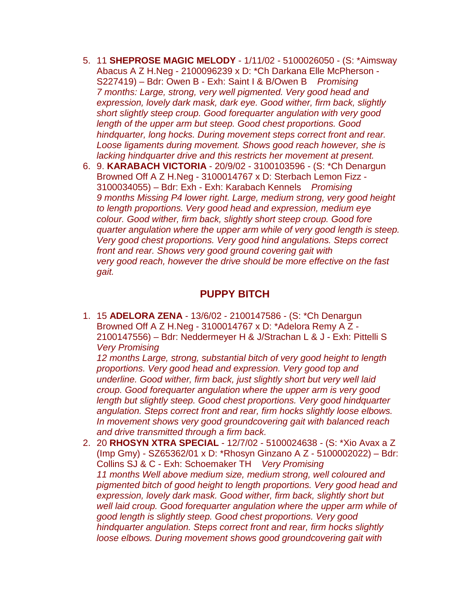- 5. 11 **SHEPROSE MAGIC MELODY**  1/11/02 5100026050 (S: \*Aimsway Abacus A Z H.Neg - 2100096239 x D: \*Ch Darkana Elle McPherson - S227419) – Bdr: Owen B - Exh: Saint I & B/Owen B *Promising 7 months: Large, strong, very well pigmented. Very good head and expression, lovely dark mask, dark eye. Good wither, firm back, slightly short slightly steep croup. Good forequarter angulation with very good length of the upper arm but steep. Good chest proportions. Good hindquarter, long hocks. During movement steps correct front and rear. Loose ligaments during movement. Shows good reach however, she is lacking hindquarter drive and this restricts her movement at present.*
- 6. 9. **KARABACH VICTORIA** 20/9/02 3100103596 (S: \*Ch Denargun Browned Off A Z H.Neg - 3100014767 x D: Sterbach Lemon Fizz - 3100034055) – Bdr: Exh - Exh: Karabach Kennels *Promising 9 months Missing P4 lower right. Large, medium strong, very good height to length proportions. Very good head and expression, medium eye colour. Good wither, firm back, slightly short steep croup. Good fore quarter angulation where the upper arm while of very good length is steep. Very good chest proportions. Very good hind angulations. Steps correct front and rear. Shows very good ground covering gait with very good reach, however the drive should be more effective on the fast gait.*

#### **PUPPY BITCH**

1. 15 **ADELORA ZENA** - 13/6/02 - 2100147586 - (S: \*Ch Denargun Browned Off A Z H.Neg - 3100014767 x D: \*Adelora Remy A Z - 2100147556) – Bdr: Neddermeyer H & J/Strachan L & J - Exh: Pittelli S *Very Promising*

*12 months Large, strong, substantial bitch of very good height to length proportions. Very good head and expression. Very good top and underline. Good wither, firm back, just slightly short but very well laid croup. Good forequarter angulation where the upper arm is very good*  length but slightly steep. Good chest proportions. Very good hindquarter *angulation. Steps correct front and rear, firm hocks slightly loose elbows. In movement shows very good groundcovering gait with balanced reach and drive transmitted through a firm back.* 

2. 20 **RHOSYN XTRA SPECIAL** - 12/7/02 - 5100024638 - (S: \*Xio Avax a Z (Imp Gmy) - SZ65362/01 x D: \*Rhosyn Ginzano A Z - 5100002022) – Bdr: Collins SJ & C - Exh: Schoemaker TH *Very Promising 11 months Well above medium size, medium strong, well coloured and pigmented bitch of good height to length proportions. Very good head and expression, lovely dark mask. Good wither, firm back, slightly short but well laid croup. Good forequarter angulation where the upper arm while of good length is slightly steep. Good chest proportions. Very good hindquarter angulation. Steps correct front and rear, firm hocks slightly loose elbows. During movement shows good groundcovering gait with*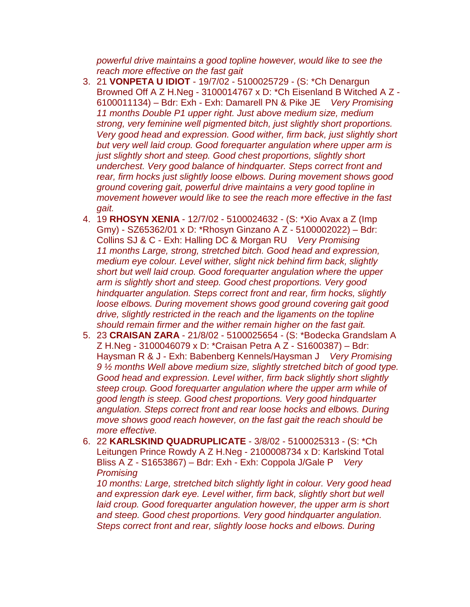*powerful drive maintains a good topline however, would like to see the reach more effective on the fast gait* 

- 3. 21 **VONPETA U IDIOT**  19/7/02 5100025729 (S: \*Ch Denargun Browned Off A Z H.Neg - 3100014767 x D: \*Ch Eisenland B Witched A Z - 6100011134) – Bdr: Exh - Exh: Damarell PN & Pike JE *Very Promising 11 months Double P1 upper right. Just above medium size, medium strong, very feminine well pigmented bitch, just slightly short proportions. Very good head and expression. Good wither, firm back, just slightly short but very well laid croup. Good forequarter angulation where upper arm is just slightly short and steep. Good chest proportions, slightly short underchest. Very good balance of hindquarter. Steps correct front and rear, firm hocks just slightly loose elbows. During movement shows good ground covering gait, powerful drive maintains a very good topline in movement however would like to see the reach more effective in the fast gait.*
- 4. 19 **RHOSYN XENIA**  12/7/02 5100024632 (S: \*Xio Avax a Z (Imp Gmy) - SZ65362/01 x D: \*Rhosyn Ginzano A Z - 5100002022) – Bdr: Collins SJ & C - Exh: Halling DC & Morgan RU *Very Promising 11 months Large, strong, stretched bitch. Good head and expression, medium eye colour. Level wither, slight nick behind firm back, slightly short but well laid croup. Good forequarter angulation where the upper arm is slightly short and steep. Good chest proportions. Very good hindquarter angulation. Steps correct front and rear, firm hocks, slightly loose elbows. During movement shows good ground covering gait good drive, slightly restricted in the reach and the ligaments on the topline should remain firmer and the wither remain higher on the fast gait.*
- 5. 23 **CRAISAN ZARA**  21/8/02 5100025654 (S: \*Bodecka Grandslam A Z H.Neg - 3100046079 x D: \*Craisan Petra A Z - S1600387) – Bdr: Haysman R & J - Exh: Babenberg Kennels/Haysman J *Very Promising 9 ½ months Well above medium size, slightly stretched bitch of good type. Good head and expression. Level wither, firm back slightly short slightly steep croup. Good forequarter angulation where the upper arm while of good length is steep. Good chest proportions. Very good hindquarter angulation. Steps correct front and rear loose hocks and elbows. During move shows good reach however, on the fast gait the reach should be more effective.*
- 6. 22 **KARLSKIND QUADRUPLICATE**  3/8/02 5100025313 (S: \*Ch Leitungen Prince Rowdy A Z H.Neg - 2100008734 x D: Karlskind Total Bliss A Z - S1653867) – Bdr: Exh - Exh: Coppola J/Gale P *Very Promising*

*10 months: Large, stretched bitch slightly light in colour. Very good head and expression dark eye. Level wither, firm back, slightly short but well*  laid croup. Good forequarter angulation however, the upper arm is short *and steep. Good chest proportions. Very good hindquarter angulation. Steps correct front and rear, slightly loose hocks and elbows. During*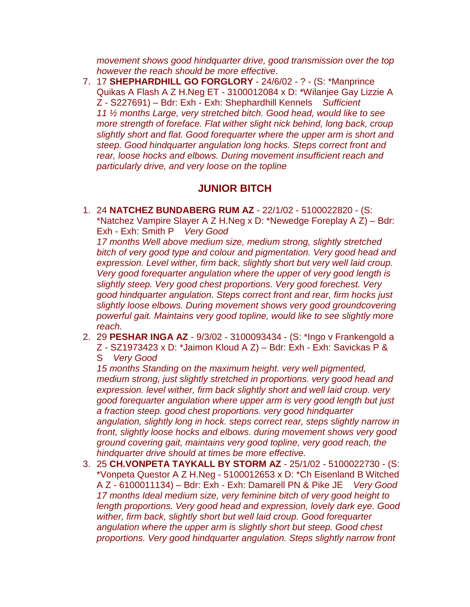*movement shows good hindquarter drive, good transmission over the top however the reach should be more effective.* 

7. 17 **SHEPHARDHILL GO FORGLORY** - 24/6/02 - ? - (S: \*Manprince Quikas A Flash A Z H.Neg ET - 3100012084 x D: \*Wilanjee Gay Lizzie A Z - S227691) – Bdr: Exh - Exh: Shephardhill Kennels *Sufficient 11 ½ months Large, very stretched bitch. Good head, would like to see more strength of foreface. Flat wither slight nick behind, long back, croup slightly short and flat. Good forequarter where the upper arm is short and steep. Good hindquarter angulation long hocks. Steps correct front and rear, loose hocks and elbows. During movement insufficient reach and particularly drive, and very loose on the topline*

## **JUNIOR BITCH**

1. 24 **NATCHEZ BUNDABERG RUM AZ** - 22/1/02 - 5100022820 - (S: \*Natchez Vampire Slayer A Z H.Neg x D: \*Newedge Foreplay A Z) – Bdr: Exh - Exh: Smith P *Very Good*

*17 months Well above medium size, medium strong, slightly stretched bitch of very good type and colour and pigmentation. Very good head and expression. Level wither, firm back, slightly short but very well laid croup. Very good forequarter angulation where the upper of very good length is slightly steep. Very good chest proportions. Very good forechest. Very good hindquarter angulation. Steps correct front and rear, firm hocks just slightly loose elbows. During movement shows very good groundcovering powerful gait. Maintains very good topline, would like to see slightly more reach.* 

2. 29 **PESHAR INGA AZ** - 9/3/02 - 3100093434 - (S: \*Ingo v Frankengold a Z - SZ1973423 x D: \*Jaimon Kloud A Z) – Bdr: Exh - Exh: Savickas P &

S *Very Good*

*15 months Standing on the maximum height. very well pigmented, medium strong, just slightly stretched in proportions. very good head and expression. level wither, firm back slightly short and well laid croup. very good forequarter angulation where upper arm is very good length but just a fraction steep. good chest proportions. very good hindquarter angulation, slightly long in hock. steps correct rear, steps slightly narrow in front, slightly loose hocks and elbows. during movement shows very good ground covering gait, maintains very good topline, very good reach, the hindquarter drive should at times be more effective.* 

3. 25 **CH.VONPETA TAYKALL BY STORM AZ** - 25/1/02 - 5100022730 - (S: \*Vonpeta Questor A Z H.Neg - 5100012653 x D: \*Ch Eisenland B Witched A Z - 6100011134) – Bdr: Exh - Exh: Damarell PN & Pike JE *Very Good 17 months Ideal medium size, very feminine bitch of very good height to length proportions. Very good head and expression, lovely dark eye. Good wither, firm back, slightly short but well laid croup. Good forequarter angulation where the upper arm is slightly short but steep. Good chest proportions. Very good hindquarter angulation. Steps slightly narrow front*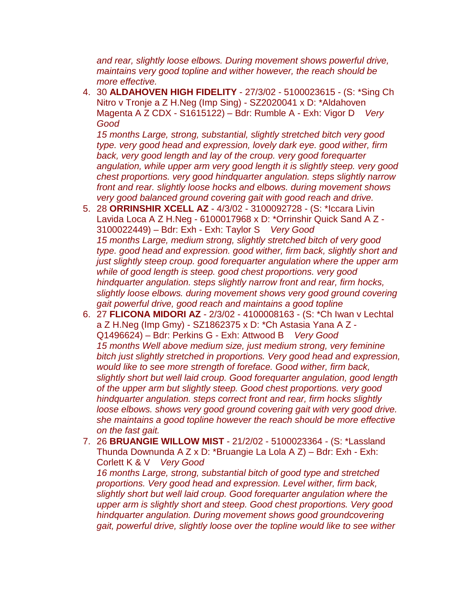*and rear, slightly loose elbows. During movement shows powerful drive, maintains very good topline and wither however, the reach should be more effective.* 

4. 30 **ALDAHOVEN HIGH FIDELITY** - 27/3/02 - 5100023615 - (S: \*Sing Ch Nitro v Tronje a Z H.Neg (Imp Sing) - SZ2020041 x D: \*Aldahoven Magenta A Z CDX - S1615122) – Bdr: Rumble A - Exh: Vigor D *Very Good*

*15 months Large, strong, substantial, slightly stretched bitch very good type. very good head and expression, lovely dark eye. good wither, firm*  back, very good length and lay of the croup. very good forequarter *angulation, while upper arm very good length it is slightly steep. very good chest proportions. very good hindquarter angulation. steps slightly narrow front and rear. slightly loose hocks and elbows. during movement shows very good balanced ground covering gait with good reach and drive.* 

- 5. 28 **ORRINSHIR XCELL AZ**  4/3/02 3100092728 (S: \*Iccara Livin Lavida Loca A Z H.Neg - 6100017968 x D: \*Orrinshir Quick Sand A Z - 3100022449) – Bdr: Exh - Exh: Taylor S *Very Good 15 months Large, medium strong, slightly stretched bitch of very good type. good head and expression. good wither, firm back, slightly short and just slightly steep croup. good forequarter angulation where the upper arm while of good length is steep. good chest proportions. very good hindquarter angulation. steps slightly narrow front and rear, firm hocks, slightly loose elbows. during movement shows very good ground covering gait powerful drive, good reach and maintains a good topline*
- 6. 27 **FLICONA MIDORI AZ**  2/3/02 4100008163 (S: \*Ch Iwan v Lechtal a Z H.Neg (Imp Gmy) - SZ1862375 x D: \*Ch Astasia Yana A Z - Q1496624) – Bdr: Perkins G - Exh: Attwood B *Very Good 15 months Well above medium size, just medium strong, very feminine bitch just slightly stretched in proportions. Very good head and expression, would like to see more strength of foreface. Good wither, firm back, slightly short but well laid croup. Good forequarter angulation, good length of the upper arm but slightly steep. Good chest proportions. very good hindquarter angulation. steps correct front and rear, firm hocks slightly loose elbows. shows very good ground covering gait with very good drive. she maintains a good topline however the reach should be more effective on the fast gait.*
- 7. 26 **BRUANGIE WILLOW MIST**  21/2/02 5100023364 (S: \*Lassland Thunda Downunda A Z x D: \*Bruangie La Lola A Z) – Bdr: Exh - Exh: Corlett K & V *Very Good*

*16 months Large, strong, substantial bitch of good type and stretched proportions. Very good head and expression. Level wither, firm back, slightly short but well laid croup. Good forequarter angulation where the upper arm is slightly short and steep. Good chest proportions. Very good hindquarter angulation. During movement shows good groundcovering gait, powerful drive, slightly loose over the topline would like to see wither*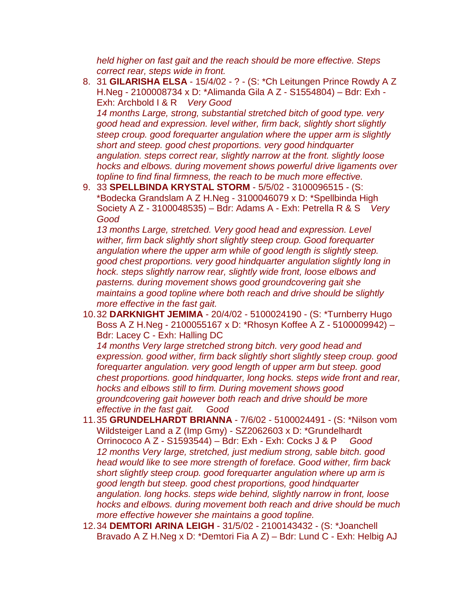*held higher on fast gait and the reach should be more effective. Steps correct rear, steps wide in front.*

- 8. 31 **GILARISHA ELSA**  15/4/02 ? (S: \*Ch Leitungen Prince Rowdy A Z H.Neg - 2100008734 x D: \*Alimanda Gila A Z - S1554804) – Bdr: Exh - Exh: Archbold I & R *Very Good 14 months Large, strong, substantial stretched bitch of good type. very good head and expression. level wither, firm back, slightly short slightly steep croup. good forequarter angulation where the upper arm is slightly short and steep. good chest proportions. very good hindquarter angulation. steps correct rear, slightly narrow at the front. slightly loose hocks and elbows. during movement shows powerful drive ligaments over topline to find final firmness, the reach to be much more effective.*
- 9. 33 **SPELLBINDA KRYSTAL STORM**  5/5/02 3100096515 (S: \*Bodecka Grandslam A Z H.Neg - 3100046079 x D: \*Spellbinda High Society A Z - 3100048535) – Bdr: Adams A - Exh: Petrella R & S *Very Good*

*13 months Large, stretched. Very good head and expression. Level wither, firm back slightly short slightly steep croup. Good forequarter angulation where the upper arm while of good length is slightly steep. good chest proportions. very good hindquarter angulation slightly long in hock. steps slightly narrow rear, slightly wide front, loose elbows and pasterns. during movement shows good groundcovering gait she maintains a good topline where both reach and drive should be slightly more effective in the fast gait.* 

10.32 **DARKNIGHT JEMIMA** - 20/4/02 - 5100024190 - (S: \*Turnberry Hugo Boss A Z H.Neg - 2100055167 x D: \*Rhosyn Koffee A Z - 5100009942) – Bdr: Lacey C - Exh: Halling DC

*14 months Very large stretched strong bitch. very good head and expression. good wither, firm back slightly short slightly steep croup. good forequarter angulation. very good length of upper arm but steep. good chest proportions. good hindquarter, long hocks. steps wide front and rear, hocks and elbows still to firm. During movement shows good groundcovering gait however both reach and drive should be more effective in the fast gait. Good*

- 11.35 **GRUNDELHARDT BRIANNA**  7/6/02 5100024491 (S: \*Nilson vom Wildsteiger Land a Z (Imp Gmy) - SZ2062603 x D: \*Grundelhardt Orrinococo A Z - S1593544) – Bdr: Exh - Exh: Cocks J & P *Good 12 months Very large, stretched, just medium strong, sable bitch. good head would like to see more strength of foreface. Good wither, firm back short slightly steep croup. good forequarter angulation where up arm is good length but steep. good chest proportions, good hindquarter angulation. long hocks. steps wide behind, slightly narrow in front, loose hocks and elbows. during movement both reach and drive should be much more effective however she maintains a good topline.*
- 12.34 **DEMTORI ARINA LEIGH**  31/5/02 2100143432 (S: \*Joanchell Bravado A Z H.Neg x D: \*Demtori Fia A Z) – Bdr: Lund C - Exh: Helbig AJ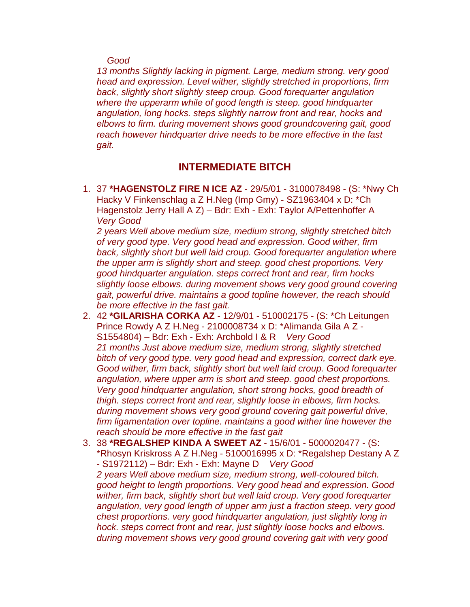#### *Good*

*13 months Slightly lacking in pigment. Large, medium strong. very good head and expression. Level wither, slightly stretched in proportions, firm back, slightly short slightly steep croup. Good forequarter angulation where the upperarm while of good length is steep. good hindquarter angulation, long hocks. steps slightly narrow front and rear, hocks and elbows to firm. during movement shows good groundcovering gait, good reach however hindquarter drive needs to be more effective in the fast gait.*

### **INTERMEDIATE BITCH**

1. 37 **\*HAGENSTOLZ FIRE N ICE AZ** - 29/5/01 - 3100078498 - (S: \*Nwy Ch Hacky V Finkenschlag a Z H.Neg (Imp Gmy) - SZ1963404 x D: \*Ch Hagenstolz Jerry Hall A Z) – Bdr: Exh - Exh: Taylor A/Pettenhoffer A *Very Good*

*2 years Well above medium size, medium strong, slightly stretched bitch of very good type. Very good head and expression. Good wither, firm back, slightly short but well laid croup. Good forequarter angulation where the upper arm is slightly short and steep. good chest proportions. Very good hindquarter angulation. steps correct front and rear, firm hocks slightly loose elbows. during movement shows very good ground covering gait, powerful drive. maintains a good topline however, the reach should be more effective in the fast gait.* 

- 2. 42 **\*GILARISHA CORKA AZ**  12/9/01 510002175 (S: \*Ch Leitungen Prince Rowdy A Z H.Neg - 2100008734 x D: \*Alimanda Gila A Z - S1554804) – Bdr: Exh - Exh: Archbold I & R *Very Good 21 months Just above medium size, medium strong, slightly stretched bitch of very good type. very good head and expression, correct dark eye. Good wither, firm back, slightly short but well laid croup. Good forequarter angulation, where upper arm is short and steep. good chest proportions. Very good hindquarter angulation, short strong hocks, good breadth of thigh. steps correct front and rear, slightly loose in elbows, firm hocks. during movement shows very good ground covering gait powerful drive, firm ligamentation over topline. maintains a good wither line however the reach should be more effective in the fast gait*
- 3. 38 **\*REGALSHEP KINDA A SWEET AZ**  15/6/01 5000020477 (S: \*Rhosyn Kriskross A Z H.Neg - 5100016995 x D: \*Regalshep Destany A Z - S1972112) – Bdr: Exh - Exh: Mayne D *Very Good 2 years Well above medium size, medium strong, well-coloured bitch. good height to length proportions. Very good head and expression. Good wither, firm back, slightly short but well laid croup. Very good forequarter angulation, very good length of upper arm just a fraction steep. very good chest proportions. very good hindquarter angulation, just slightly long in hock. steps correct front and rear, just slightly loose hocks and elbows. during movement shows very good ground covering gait with very good*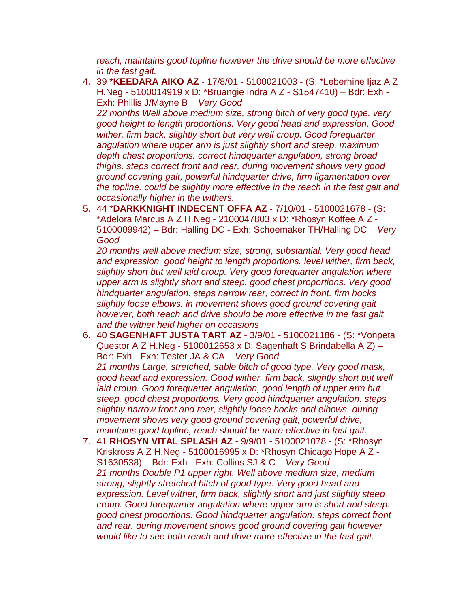*reach, maintains good topline however the drive should be more effective in the fast gait.* 

4. 39 **\*KEEDARA AIKO AZ** - 17/8/01 - 5100021003 - (S: \*Leberhine Ijaz A Z H.Neg - 5100014919 x D: \*Bruangie Indra A Z - S1547410) – Bdr: Exh - Exh: Phillis J/Mayne B *Very Good*

*22 months Well above medium size, strong bitch of very good type. very good height to length proportions. Very good head and expression. Good*  wither, firm back, slightly short but very well croup. Good forequarter *angulation where upper arm is just slightly short and steep. maximum depth chest proportions. correct hindquarter angulation, strong broad thighs. steps correct front and rear, during movement shows very good ground covering gait, powerful hindquarter drive, firm ligamentation over the topline. could be slightly more effective in the reach in the fast gait and occasionally higher in the withers.* 

5. 44 \***DARKKNIGHT INDECENT OFFA AZ** - 7/10/01 - 5100021678 - (S: \*Adelora Marcus A Z H.Neg - 2100047803 x D: \*Rhosyn Koffee A Z - 5100009942) – Bdr: Halling DC - Exh: Schoemaker TH/Halling DC *Very Good*

*20 months well above medium size, strong, substantial. Very good head and expression. good height to length proportions. level wither, firm back, slightly short but well laid croup. Very good forequarter angulation where upper arm is slightly short and steep. good chest proportions. Very good hindquarter angulation. steps narrow rear, correct in front. firm hocks slightly loose elbows. in movement shows good ground covering gait however, both reach and drive should be more effective in the fast gait and the wither held higher on occasions* 

- 6. 40 **SAGENHAFT JUSTA TART AZ**  3/9/01 5100021186 (S: \*Vonpeta Questor A Z H.Neg - 5100012653 x D: Sagenhaft S Brindabella A Z) – Bdr: Exh - Exh: Tester JA & CA *Very Good 21 months Large, stretched, sable bitch of good type. Very good mask, good head and expression. Good wither, firm back, slightly short but well laid croup. Good forequarter angulation, good length of upper arm but steep. good chest proportions. Very good hindquarter angulation. steps slightly narrow front and rear, slightly loose hocks and elbows. during movement shows very good ground covering gait, powerful drive, maintains good topline, reach should be more effective in fast gait.*
- 7. 41 **RHOSYN VITAL SPLASH AZ**  9/9/01 5100021078 (S: \*Rhosyn Kriskross A Z H.Neg - 5100016995 x D: \*Rhosyn Chicago Hope A Z - S1630538) – Bdr: Exh - Exh: Collins SJ & C *Very Good 21 months Double P1 upper right. Well above medium size, medium strong, slightly stretched bitch of good type. Very good head and expression. Level wither, firm back, slightly short and just slightly steep croup. Good forequarter angulation where upper arm is short and steep. good chest proportions. Good hindquarter angulation. steps correct front and rear. during movement shows good ground covering gait however would like to see both reach and drive more effective in the fast gait.*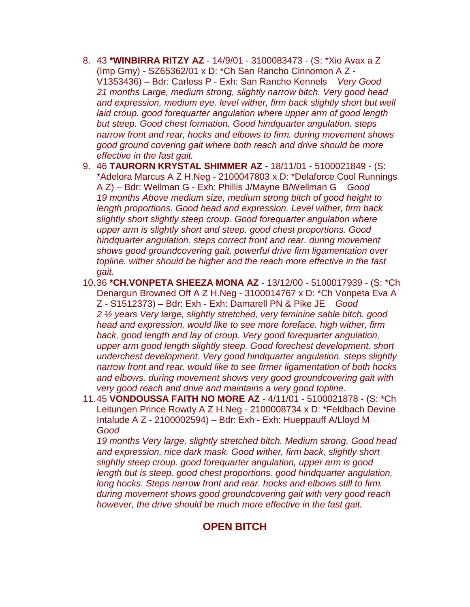- 8. 43 **\*WINBIRRA RITZY AZ**  14/9/01 3100083473 (S: \*Xio Avax a Z (Imp Gmy) - SZ65362/01 x D: \*Ch San Rancho Cinnomon A Z - V1353436) – Bdr: Carless P - Exh: San Rancho Kennels *Very Good 21 months Large, medium strong, slightly narrow bitch. Very good head and expression, medium eye. level wither, firm back slightly short but well laid croup. good forequarter angulation where upper arm of good length but steep. Good chest formation. Good hindquarter angulation. steps narrow front and rear, hocks and elbows to firm. during movement shows good ground covering gait where both reach and drive should be more effective in the fast gait.*
- 9. 46 **TAURORN KRYSTAL SHIMMER AZ**  18/11/01 5100021849 (S: \*Adelora Marcus A Z H.Neg - 2100047803 x D: \*Delaforce Cool Runnings A Z) – Bdr: Wellman G - Exh: Phillis J/Mayne B/Wellman G *Good 19 months Above medium size, medium strong bitch of good height to length proportions. Good head and expression. Level wither, firm back slightly short slightly steep croup. Good forequarter angulation where upper arm is slightly short and steep. good chest proportions. Good hindquarter angulation. steps correct front and rear. during movement shows good groundcovering gait, powerful drive firm ligamentation over topline. wither should be higher and the reach more effective in the fast gait.*
- 10.36 **\*CH.VONPETA SHEEZA MONA AZ**  13/12/00 5100017939 (S: \*Ch Denargun Browned Off A Z H.Neg - 3100014767 x D: \*Ch Vonpeta Eva A Z - S1512373) – Bdr: Exh - Exh: Damarell PN & Pike JE *Good 2 ½ years Very large, slightly stretched, very feminine sable bitch. good head and expression, would like to see more foreface. high wither, firm back, good length and lay of croup. Very good forequarter angulation, upper arm good length slightly steep. Good forechest development. short underchest development. Very good hindquarter angulation. steps slightly narrow front and rear. would like to see firmer ligamentation of both hocks and elbows. during movement shows very good groundcovering gait with very good reach and drive and maintains a very good topline.*
- 11.45 **VONDOUSSA FAITH NO MORE AZ**  4/11/01 5100021878 (S: \*Ch Leitungen Prince Rowdy A Z H.Neg - 2100008734 x D: \*Feldbach Devine Intalude A Z - 2100002594) – Bdr: Exh - Exh: Hueppauff A/Lloyd M *Good*

*19 months Very large, slightly stretched bitch. Medium strong. Good head and expression, nice dark mask. Good wither, firm back, slightly short slightly steep croup. good forequarter angulation, upper arm is good length but is steep. good chest proportions. good hindquarter angulation, long hocks. Steps narrow front and rear. hocks and elbows still to firm. during movement shows good groundcovering gait with very good reach however, the drive should be much more effective in the fast gait.*

## **OPEN BITCH**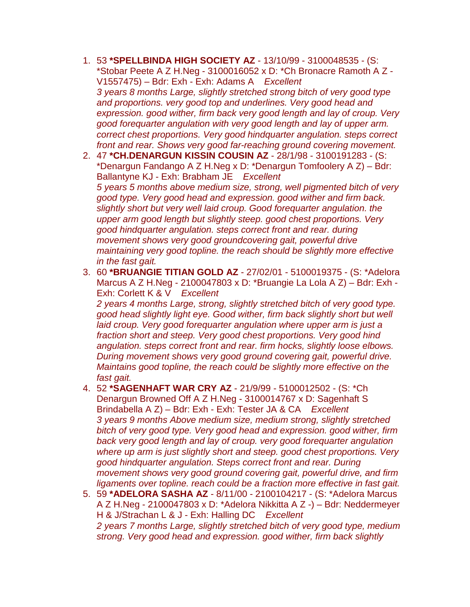- 1. 53 **\*SPELLBINDA HIGH SOCIETY AZ**  13/10/99 3100048535 (S: \*Stobar Peete A Z H.Neg - 3100016052 x D: \*Ch Bronacre Ramoth A Z - V1557475) – Bdr: Exh - Exh: Adams A *Excellent 3 years 8 months Large, slightly stretched strong bitch of very good type and proportions. very good top and underlines. Very good head and expression. good wither, firm back very good length and lay of croup. Very good forequarter angulation with very good length and lay of upper arm. correct chest proportions. Very good hindquarter angulation. steps correct front and rear. Shows very good far-reaching ground covering movement.*
- 2. 47 **\*CH.DENARGUN KISSIN COUSIN AZ**  28/1/98 3100191283 (S: \*Denargun Fandango A Z H.Neg x D: \*Denargun Tomfoolery A Z) – Bdr: Ballantyne KJ - Exh: Brabham JE *Excellent 5 years 5 months above medium size, strong, well pigmented bitch of very good type. Very good head and expression. good wither and firm back. slightly short but very well laid croup. Good forequarter angulation. the upper arm good length but slightly steep. good chest proportions. Very good hindquarter angulation. steps correct front and rear. during movement shows very good groundcovering gait, powerful drive maintaining very good topline. the reach should be slightly more effective in the fast gait.*
- 3. 60 **\*BRUANGIE TITIAN GOLD AZ**  27/02/01 5100019375 (S: \*Adelora Marcus A Z H.Neg - 2100047803 x D: \*Bruangie La Lola A Z) – Bdr: Exh - Exh: Corlett K & V *Excellent 2 years 4 months Large, strong, slightly stretched bitch of very good type. good head slightly light eye. Good wither, firm back slightly short but well*  laid croup. Very good forequarter angulation where upper arm is just a *fraction short and steep. Very good chest proportions. Very good hind angulation. steps correct front and rear. firm hocks, slightly loose elbows. During movement shows very good ground covering gait, powerful drive. Maintains good topline, the reach could be slightly more effective on the fast gait.*
- 4. 52 **\*SAGENHAFT WAR CRY AZ**  21/9/99 5100012502 (S: \*Ch Denargun Browned Off A Z H.Neg - 3100014767 x D: Sagenhaft S Brindabella A Z) – Bdr: Exh - Exh: Tester JA & CA *Excellent 3 years 9 months Above medium size, medium strong, slightly stretched bitch of very good type. Very good head and expression. good wither, firm back very good length and lay of croup. very good forequarter angulation where up arm is just slightly short and steep. good chest proportions. Very good hindquarter angulation. Steps correct front and rear. During movement shows very good ground covering gait, powerful drive, and firm ligaments over topline. reach could be a fraction more effective in fast gait.*
- 5. 59 **\*ADELORA SASHA AZ**  8/11/00 2100104217 (S: \*Adelora Marcus A Z H.Neg - 2100047803 x D: \*Adelora Nikkitta A Z -) – Bdr: Neddermeyer H & J/Strachan L & J - Exh: Halling DC *Excellent 2 years 7 months Large, slightly stretched bitch of very good type, medium strong. Very good head and expression. good wither, firm back slightly*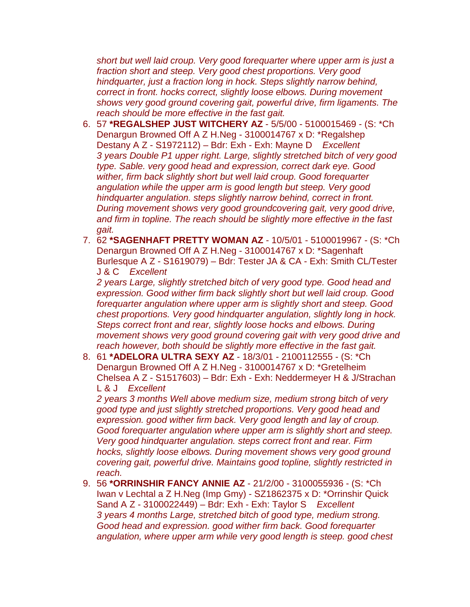*short but well laid croup. Very good forequarter where upper arm is just a fraction short and steep. Very good chest proportions. Very good hindquarter, just a fraction long in hock. Steps slightly narrow behind, correct in front. hocks correct, slightly loose elbows. During movement shows very good ground covering gait, powerful drive, firm ligaments. The reach should be more effective in the fast gait.* 

- 6. 57 **\*REGALSHEP JUST WITCHERY AZ**  5/5/00 5100015469 (S: \*Ch Denargun Browned Off A Z H.Neg - 3100014767 x D: \*Regalshep Destany A Z - S1972112) – Bdr: Exh - Exh: Mayne D *Excellent 3 years Double P1 upper right. Large, slightly stretched bitch of very good type. Sable. very good head and expression, correct dark eye. Good wither, firm back slightly short but well laid croup. Good forequarter angulation while the upper arm is good length but steep. Very good hindquarter angulation. steps slightly narrow behind, correct in front. During movement shows very good groundcovering gait, very good drive, and firm in topline. The reach should be slightly more effective in the fast gait.*
- 7. 62 **\*SAGENHAFT PRETTY WOMAN AZ**  10/5/01 5100019967 (S: \*Ch Denargun Browned Off A Z H.Neg - 3100014767 x D: \*Sagenhaft Burlesque A Z - S1619079) – Bdr: Tester JA & CA - Exh: Smith CL/Tester J & C *Excellent*

*2 years Large, slightly stretched bitch of very good type. Good head and expression. Good wither firm back slightly short but well laid croup. Good forequarter angulation where upper arm is slightly short and steep. Good chest proportions. Very good hindquarter angulation, slightly long in hock. Steps correct front and rear, slightly loose hocks and elbows. During movement shows very good ground covering gait with very good drive and reach however, both should be slightly more effective in the fast gait.* 

8. 61 **\*ADELORA ULTRA SEXY AZ** - 18/3/01 - 2100112555 - (S: \*Ch Denargun Browned Off A Z H.Neg - 3100014767 x D: \*Gretelheim Chelsea A Z - S1517603) – Bdr: Exh - Exh: Neddermeyer H & J/Strachan L & J *Excellent*

*2 years 3 months Well above medium size, medium strong bitch of very good type and just slightly stretched proportions. Very good head and expression. good wither firm back. Very good length and lay of croup. Good forequarter angulation where upper arm is slightly short and steep. Very good hindquarter angulation. steps correct front and rear. Firm hocks, slightly loose elbows. During movement shows very good ground covering gait, powerful drive. Maintains good topline, slightly restricted in reach.* 

9. 56 **\*ORRINSHIR FANCY ANNIE AZ** - 21/2/00 - 3100055936 - (S: \*Ch Iwan v Lechtal a Z H.Neg (Imp Gmy) - SZ1862375 x D: \*Orrinshir Quick Sand A Z - 3100022449) – Bdr: Exh - Exh: Taylor S *Excellent 3 years 4 months Large, stretched bitch of good type, medium strong. Good head and expression. good wither firm back. Good forequarter angulation, where upper arm while very good length is steep. good chest*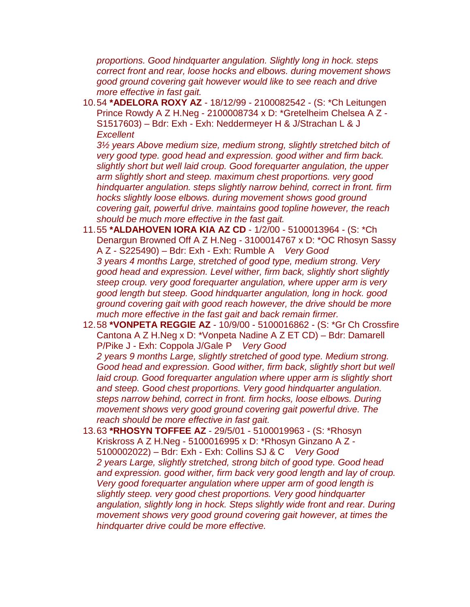*proportions. Good hindquarter angulation. Slightly long in hock. steps correct front and rear, loose hocks and elbows. during movement shows good ground covering gait however would like to see reach and drive more effective in fast gait.* 

10.54 **\*ADELORA ROXY AZ** - 18/12/99 - 2100082542 - (S: \*Ch Leitungen Prince Rowdy A Z H.Neg - 2100008734 x D: \*Gretelheim Chelsea A Z - S1517603) – Bdr: Exh - Exh: Neddermeyer H & J/Strachan L & J *Excellent*

*3½ years Above medium size, medium strong, slightly stretched bitch of very good type. good head and expression. good wither and firm back. slightly short but well laid croup. Good forequarter angulation, the upper arm slightly short and steep. maximum chest proportions. very good hindquarter angulation. steps slightly narrow behind, correct in front. firm hocks slightly loose elbows. during movement shows good ground covering gait, powerful drive. maintains good topline however, the reach should be much more effective in the fast gait.* 

- 11.55 **\*ALDAHOVEN IORA KIA AZ CD**  1/2/00 5100013964 (S: \*Ch Denargun Browned Off A Z H.Neg - 3100014767 x D: \*OC Rhosyn Sassy A Z - S225490) – Bdr: Exh - Exh: Rumble A *Very Good 3 years 4 months Large, stretched of good type, medium strong. Very good head and expression. Level wither, firm back, slightly short slightly steep croup. very good forequarter angulation, where upper arm is very good length but steep. Good hindquarter angulation, long in hock. good ground covering gait with good reach however, the drive should be more much more effective in the fast gait and back remain firmer.*
- 12.58 **\*VONPETA REGGIE AZ**  10/9/00 5100016862 (S: \*Gr Ch Crossfire Cantona A Z H.Neg x D: \*Vonpeta Nadine A Z ET CD) – Bdr: Damarell P/Pike J - Exh: Coppola J/Gale P *Very Good 2 years 9 months Large, slightly stretched of good type. Medium strong. Good head and expression. Good wither, firm back, slightly short but well*  laid croup. Good forequarter angulation where upper arm is slightly short *and steep. Good chest proportions. Very good hindquarter angulation. steps narrow behind, correct in front. firm hocks, loose elbows. During movement shows very good ground covering gait powerful drive. The reach should be more effective in fast gait.*
- 13.63 **\*RHOSYN TOFFEE AZ**  29/5/01 5100019963 (S: \*Rhosyn Kriskross A Z H.Neg - 5100016995 x D: \*Rhosyn Ginzano A Z - 5100002022) – Bdr: Exh - Exh: Collins SJ & C *Very Good 2 years Large, slightly stretched, strong bitch of good type. Good head and expression. good wither, firm back very good length and lay of croup. Very good forequarter angulation where upper arm of good length is slightly steep. very good chest proportions. Very good hindquarter angulation, slightly long in hock. Steps slightly wide front and rear. During movement shows very good ground covering gait however, at times the hindquarter drive could be more effective.*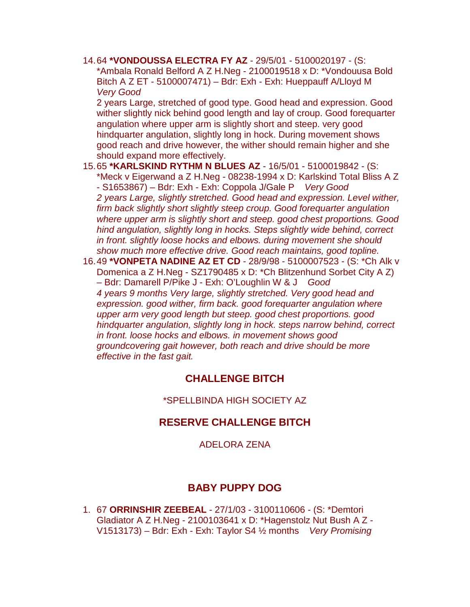14.64 **\*VONDOUSSA ELECTRA FY AZ** - 29/5/01 - 5100020197 - (S: \*Ambala Ronald Belford A Z H.Neg - 2100019518 x D: \*Vondouusa Bold Bitch A Z ET - 5100007471) – Bdr: Exh - Exh: Hueppauff A/Lloyd M *Very Good*

2 years Large, stretched of good type. Good head and expression. Good wither slightly nick behind good length and lay of croup. Good forequarter angulation where upper arm is slightly short and steep. very good hindquarter angulation, slightly long in hock. During movement shows good reach and drive however, the wither should remain higher and she should expand more effectively.

- 15.65 **\*KARLSKIND RYTHM N BLUES AZ**  16/5/01 5100019842 (S: \*Meck v Eigerwand a Z H.Neg - 08238-1994 x D: Karlskind Total Bliss A Z - S1653867) – Bdr: Exh - Exh: Coppola J/Gale P *Very Good 2 years Large, slightly stretched. Good head and expression. Level wither, firm back slightly short slightly steep croup. Good forequarter angulation where upper arm is slightly short and steep. good chest proportions. Good hind angulation, slightly long in hocks. Steps slightly wide behind, correct in front. slightly loose hocks and elbows. during movement she should show much more effective drive. Good reach maintains, good topline.*
- 16.49 **\*VONPETA NADINE AZ ET CD**  28/9/98 5100007523 (S: \*Ch Alk v Domenica a Z H.Neg - SZ1790485 x D: \*Ch Blitzenhund Sorbet City A Z) – Bdr: Damarell P/Pike J - Exh: O'Loughlin W & J *Good 4 years 9 months Very large, slightly stretched. Very good head and expression. good wither, firm back. good forequarter angulation where upper arm very good length but steep. good chest proportions. good hindquarter angulation, slightly long in hock. steps narrow behind, correct in front. loose hocks and elbows. in movement shows good groundcovering gait however, both reach and drive should be more effective in the fast gait.*

### **CHALLENGE BITCH**

#### \*SPELLBINDA HIGH SOCIETY AZ

### **RESERVE CHALLENGE BITCH**

ADELORA ZENA

## **BABY PUPPY DOG**

1. 67 **ORRINSHIR ZEEBEAL** - 27/1/03 - 3100110606 - (S: \*Demtori Gladiator A Z H.Neg - 2100103641 x D: \*Hagenstolz Nut Bush A Z - V1513173) – Bdr: Exh - Exh: Taylor S4 ½ months *Very Promising*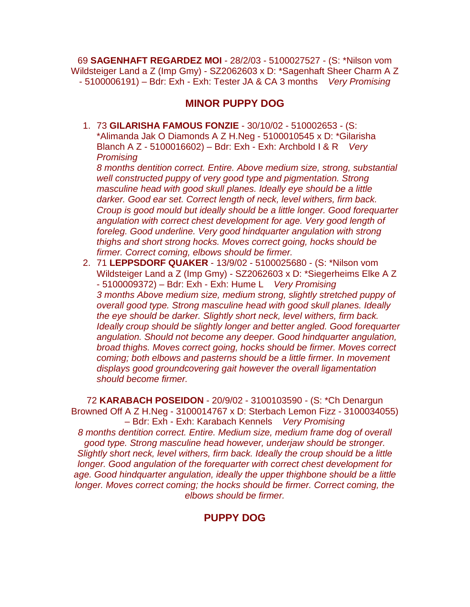69 **SAGENHAFT REGARDEZ MOI** - 28/2/03 - 5100027527 - (S: \*Nilson vom Wildsteiger Land a Z (Imp Gmy) - SZ2062603 x D: \*Sagenhaft Sheer Charm A Z - 5100006191) – Bdr: Exh - Exh: Tester JA & CA 3 months *Very Promising*

## **MINOR PUPPY DOG**

1. 73 **GILARISHA FAMOUS FONZIE** - 30/10/02 - 510002653 - (S: \*Alimanda Jak O Diamonds A Z H.Neg - 5100010545 x D: \*Gilarisha Blanch A Z - 5100016602) – Bdr: Exh - Exh: Archbold I & R *Very Promising*

*8 months dentition correct. Entire. Above medium size, strong, substantial well constructed puppy of very good type and pigmentation. Strong masculine head with good skull planes. Ideally eye should be a little darker. Good ear set. Correct length of neck, level withers, firm back. Croup is good mould but ideally should be a little longer. Good forequarter angulation with correct chest development for age. Very good length of foreleg. Good underline. Very good hindquarter angulation with strong thighs and short strong hocks. Moves correct going, hocks should be firmer. Correct coming, elbows should be firmer.* 

2. 71 **LEPPSDORF QUAKER** - 13/9/02 - 5100025680 - (S: \*Nilson vom Wildsteiger Land a Z (Imp Gmy) - SZ2062603 x D: \*Siegerheims Elke A Z - 5100009372) – Bdr: Exh - Exh: Hume L *Very Promising 3 months Above medium size, medium strong, slightly stretched puppy of overall good type. Strong masculine head with good skull planes. Ideally the eye should be darker. Slightly short neck, level withers, firm back. Ideally croup should be slightly longer and better angled. Good forequarter angulation. Should not become any deeper. Good hindquarter angulation, broad thighs. Moves correct going, hocks should be firmer. Moves correct coming; both elbows and pasterns should be a little firmer. In movement displays good groundcovering gait however the overall ligamentation should become firmer.* 

72 **KARABACH POSEIDON** - 20/9/02 - 3100103590 - (S: \*Ch Denargun Browned Off A Z H.Neg - 3100014767 x D: Sterbach Lemon Fizz - 3100034055) – Bdr: Exh - Exh: Karabach Kennels *Very Promising 8 months dentition correct. Entire. Medium size, medium frame dog of overall good type. Strong masculine head however, underjaw should be stronger. Slightly short neck, level withers, firm back. Ideally the croup should be a little longer. Good angulation of the forequarter with correct chest development for age. Good hindquarter angulation, ideally the upper thighbone should be a little longer. Moves correct coming; the hocks should be firmer. Correct coming, the elbows should be firmer.*

## **PUPPY DOG**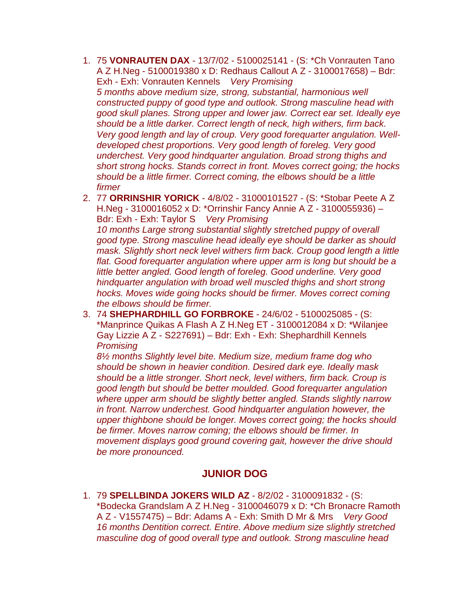- 1. 75 **VONRAUTEN DAX**  13/7/02 5100025141 (S: \*Ch Vonrauten Tano A Z H.Neg - 5100019380 x D: Redhaus Callout A Z - 3100017658) – Bdr: Exh - Exh: Vonrauten Kennels *Very Promising 5 months above medium size, strong, substantial, harmonious well constructed puppy of good type and outlook. Strong masculine head with good skull planes. Strong upper and lower jaw. Correct ear set. Ideally eye should be a little darker. Correct length of neck, high withers, firm back. Very good length and lay of croup. Very good forequarter angulation. Welldeveloped chest proportions. Very good length of foreleg. Very good underchest. Very good hindquarter angulation. Broad strong thighs and short strong hocks. Stands correct in front. Moves correct going; the hocks should be a little firmer. Correct coming, the elbows should be a little firmer*
- 2. 77 **ORRINSHIR YORICK** 4/8/02 31000101527 (S: \*Stobar Peete A Z H.Neg - 3100016052 x D: \*Orrinshir Fancy Annie A Z - 3100055936) – Bdr: Exh - Exh: Taylor S *Very Promising 10 months Large strong substantial slightly stretched puppy of overall good type. Strong masculine head ideally eye should be darker as should mask. Slightly short neck level withers firm back. Croup good length a little*  flat. Good forequarter angulation where upper arm is long but should be a *little better angled. Good length of foreleg. Good underline. Very good hindquarter angulation with broad well muscled thighs and short strong hocks. Moves wide going hocks should be firmer. Moves correct coming the elbows should be firmer.*
- 3. 74 **SHEPHARDHILL GO FORBROKE**  24/6/02 5100025085 (S: \*Manprince Quikas A Flash A Z H.Neg ET - 3100012084 x D: \*Wilanjee Gay Lizzie A Z - S227691) – Bdr: Exh - Exh: Shephardhill Kennels *Promising*

*8½ months Slightly level bite. Medium size, medium frame dog who should be shown in heavier condition. Desired dark eye. Ideally mask should be a little stronger. Short neck, level withers, firm back. Croup is good length but should be better moulded. Good forequarter angulation where upper arm should be slightly better angled. Stands slightly narrow in front. Narrow underchest. Good hindquarter angulation however, the upper thighbone should be longer. Moves correct going; the hocks should be firmer. Moves narrow coming; the elbows should be firmer. In movement displays good ground covering gait, however the drive should be more pronounced.*

### **JUNIOR DOG**

1. 79 **SPELLBINDA JOKERS WILD AZ** - 8/2/02 - 3100091832 - (S: \*Bodecka Grandslam A Z H.Neg - 3100046079 x D: \*Ch Bronacre Ramoth A Z - V1557475) – Bdr: Adams A - Exh: Smith D Mr & Mrs *Very Good 16 months Dentition correct. Entire. Above medium size slightly stretched masculine dog of good overall type and outlook. Strong masculine head*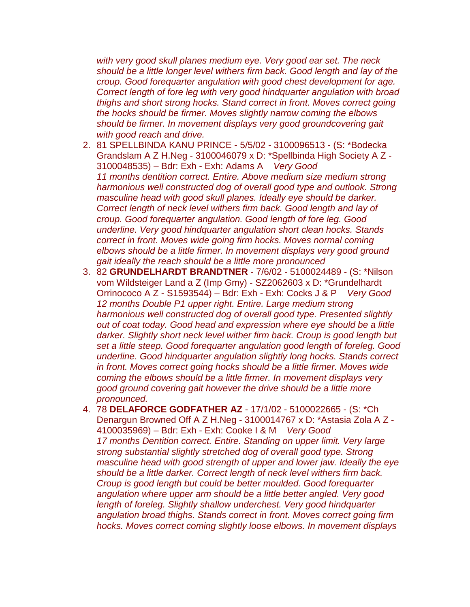*with very good skull planes medium eye. Very good ear set. The neck should be a little longer level withers firm back. Good length and lay of the croup. Good forequarter angulation with good chest development for age. Correct length of fore leg with very good hindquarter angulation with broad thighs and short strong hocks. Stand correct in front. Moves correct going the hocks should be firmer. Moves slightly narrow coming the elbows should be firmer. In movement displays very good groundcovering gait with good reach and drive.* 

- 2. 81 SPELLBINDA KANU PRINCE 5/5/02 3100096513 (S: \*Bodecka Grandslam A Z H.Neg - 3100046079 x D: \*Spellbinda High Society A Z - 3100048535) – Bdr: Exh - Exh: Adams A *Very Good 11 months dentition correct. Entire. Above medium size medium strong harmonious well constructed dog of overall good type and outlook. Strong masculine head with good skull planes. Ideally eye should be darker. Correct length of neck level withers firm back. Good length and lay of croup. Good forequarter angulation. Good length of fore leg. Good underline. Very good hindquarter angulation short clean hocks. Stands correct in front. Moves wide going firm hocks. Moves normal coming elbows should be a little firmer. In movement displays very good ground gait ideally the reach should be a little more pronounced*
- 3. 82 **GRUNDELHARDT BRANDTNER**  7/6/02 5100024489 (S: \*Nilson vom Wildsteiger Land a Z (Imp Gmy) - SZ2062603 x D: \*Grundelhardt Orrinococo A Z - S1593544) – Bdr: Exh - Exh: Cocks J & P *Very Good 12 months Double P1 upper right. Entire. Large medium strong harmonious well constructed dog of overall good type. Presented slightly out of coat today. Good head and expression where eye should be a little darker. Slightly short neck level wither firm back. Croup is good length but set a little steep. Good forequarter angulation good length of foreleg. Good underline. Good hindquarter angulation slightly long hocks. Stands correct in front. Moves correct going hocks should be a little firmer. Moves wide coming the elbows should be a little firmer. In movement displays very good ground covering gait however the drive should be a little more pronounced.*
- 4. 78 **DELAFORCE GODFATHER AZ**  17/1/02 5100022665 (S: \*Ch Denargun Browned Off A Z H.Neg - 3100014767 x D: \*Astasia Zola A Z - 4100035969) – Bdr: Exh - Exh: Cooke I & M *Very Good 17 months Dentition correct. Entire. Standing on upper limit. Very large strong substantial slightly stretched dog of overall good type. Strong masculine head with good strength of upper and lower jaw. Ideally the eye should be a little darker. Correct length of neck level withers firm back. Croup is good length but could be better moulded. Good forequarter angulation where upper arm should be a little better angled. Very good length of foreleg. Slightly shallow underchest. Very good hindquarter angulation broad thighs. Stands correct in front. Moves correct going firm hocks. Moves correct coming slightly loose elbows. In movement displays*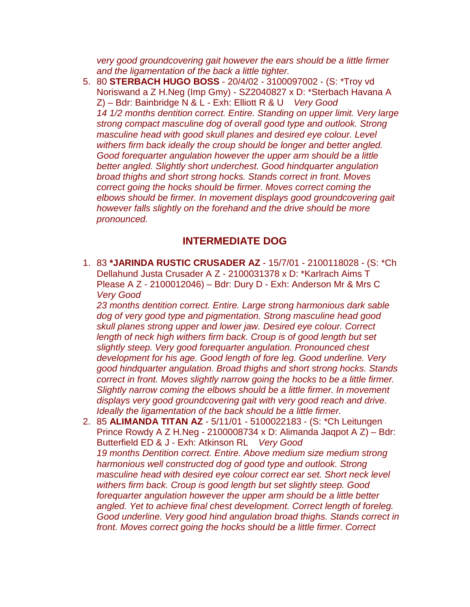*very good groundcovering gait however the ears should be a little firmer and the ligamentation of the back a little tighter.* 

5. 80 **STERBACH HUGO BOSS** - 20/4/02 - 3100097002 - (S: \*Troy vd Noriswand a Z H.Neg (Imp Gmy) - SZ2040827 x D: \*Sterbach Havana A Z) – Bdr: Bainbridge N & L - Exh: Elliott R & U *Very Good 14 1/2 months dentition correct. Entire. Standing on upper limit. Very large strong compact masculine dog of overall good type and outlook. Strong masculine head with good skull planes and desired eye colour. Level withers firm back ideally the croup should be longer and better angled. Good forequarter angulation however the upper arm should be a little better angled. Slightly short underchest. Good hindquarter angulation broad thighs and short strong hocks. Stands correct in front. Moves correct going the hocks should be firmer. Moves correct coming the elbows should be firmer. In movement displays good groundcovering gait however falls slightly on the forehand and the drive should be more pronounced.*

## **INTERMEDIATE DOG**

1. 83 **\*JARINDA RUSTIC CRUSADER AZ** - 15/7/01 - 2100118028 - (S: \*Ch Dellahund Justa Crusader A Z - 2100031378 x D: \*Karlrach Aims T Please A Z - 2100012046) – Bdr: Dury D - Exh: Anderson Mr & Mrs C *Very Good*

*23 months dentition correct. Entire. Large strong harmonious dark sable dog of very good type and pigmentation. Strong masculine head good skull planes strong upper and lower jaw. Desired eye colour. Correct*  length of neck high withers firm back. Croup is of good length but set *slightly steep. Very good forequarter angulation. Pronounced chest development for his age. Good length of fore leg. Good underline. Very good hindquarter angulation. Broad thighs and short strong hocks. Stands correct in front. Moves slightly narrow going the hocks to be a little firmer. Slightly narrow coming the elbows should be a little firmer. In movement displays very good groundcovering gait with very good reach and drive. Ideally the ligamentation of the back should be a little firmer.* 

2. 85 **ALIMANDA TITAN AZ** - 5/11/01 - 5100022183 - (S: \*Ch Leitungen Prince Rowdy A Z H.Neg - 2100008734 x D: Alimanda Jaqpot A Z) – Bdr: Butterfield ED & J - Exh: Atkinson RL *Very Good 19 months Dentition correct. Entire. Above medium size medium strong harmonious well constructed dog of good type and outlook. Strong masculine head with desired eye colour correct ear set. Short neck level withers firm back. Croup is good length but set slightly steep. Good forequarter angulation however the upper arm should be a little better angled. Yet to achieve final chest development. Correct length of foreleg. Good underline. Very good hind angulation broad thighs. Stands correct in front. Moves correct going the hocks should be a little firmer. Correct*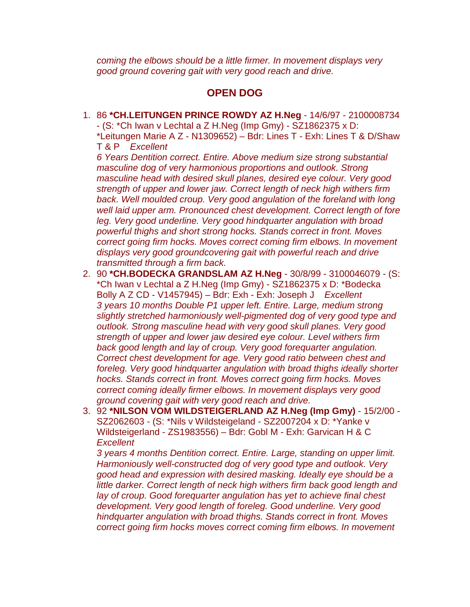*coming the elbows should be a little firmer. In movement displays very good ground covering gait with very good reach and drive.*

### **OPEN DOG**

1. 86 **\*CH.LEITUNGEN PRINCE ROWDY AZ H.Neg** - 14/6/97 - 2100008734 - (S: \*Ch Iwan v Lechtal a Z H.Neg (Imp Gmy) - SZ1862375 x D: \*Leitungen Marie A Z - N1309652) – Bdr: Lines T - Exh: Lines T & D/Shaw T & P *Excellent*

*6 Years Dentition correct. Entire. Above medium size strong substantial masculine dog of very harmonious proportions and outlook. Strong masculine head with desired skull planes, desired eye colour. Very good strength of upper and lower jaw. Correct length of neck high withers firm*  back. Well moulded croup. Very good angulation of the foreland with long *well laid upper arm. Pronounced chest development. Correct length of fore leg. Very good underline. Very good hindquarter angulation with broad powerful thighs and short strong hocks. Stands correct in front. Moves correct going firm hocks. Moves correct coming firm elbows. In movement displays very good groundcovering gait with powerful reach and drive transmitted through a firm back.* 

- 2. 90 **\*CH.BODECKA GRANDSLAM AZ H.Neg**  30/8/99 3100046079 (S: \*Ch Iwan v Lechtal a Z H.Neg (Imp Gmy) - SZ1862375 x D: \*Bodecka Bolly A Z CD - V1457945) – Bdr: Exh - Exh: Joseph J *Excellent 3 years 10 months Double P1 upper left. Entire. Large, medium strong slightly stretched harmoniously well-pigmented dog of very good type and outlook. Strong masculine head with very good skull planes. Very good strength of upper and lower jaw desired eye colour. Level withers firm back good length and lay of croup. Very good forequarter angulation. Correct chest development for age. Very good ratio between chest and foreleg. Very good hindquarter angulation with broad thighs ideally shorter hocks. Stands correct in front. Moves correct going firm hocks. Moves correct coming ideally firmer elbows. In movement displays very good ground covering gait with very good reach and drive.*
- 3. 92 **\*NILSON VOM WILDSTEIGERLAND AZ H.Neg (Imp Gmy)**  15/2/00 SZ2062603 - (S: \*Nils v Wildsteigeland - SZ2007204 x D: \*Yanke v Wildsteigerland - ZS1983556) – Bdr: Gobl M - Exh: Garvican H & C *Excellent*

*3 years 4 months Dentition correct. Entire. Large, standing on upper limit. Harmoniously well-constructed dog of very good type and outlook. Very good head and expression with desired masking. Ideally eye should be a little darker. Correct length of neck high withers firm back good length and lay of croup. Good forequarter angulation has yet to achieve final chest development. Very good length of foreleg. Good underline. Very good hindquarter angulation with broad thighs. Stands correct in front. Moves correct going firm hocks moves correct coming firm elbows. In movement*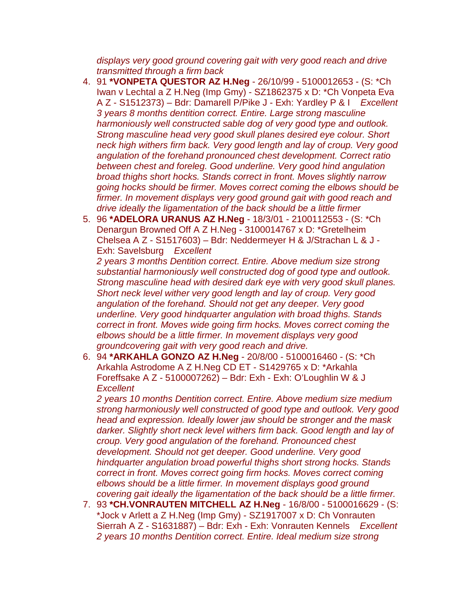*displays very good ground covering gait with very good reach and drive transmitted through a firm back*

- 4. 91 **\*VONPETA QUESTOR AZ H.Neg**  26/10/99 5100012653 (S: \*Ch Iwan v Lechtal a Z H.Neg (Imp Gmy) - SZ1862375 x D: \*Ch Vonpeta Eva A Z - S1512373) – Bdr: Damarell P/Pike J - Exh: Yardley P & I *Excellent 3 years 8 months dentition correct. Entire. Large strong masculine harmoniously well constructed sable dog of very good type and outlook. Strong masculine head very good skull planes desired eye colour. Short neck high withers firm back. Very good length and lay of croup. Very good angulation of the forehand pronounced chest development. Correct ratio between chest and foreleg. Good underline. Very good hind angulation broad thighs short hocks. Stands correct in front. Moves slightly narrow going hocks should be firmer. Moves correct coming the elbows should be firmer. In movement displays very good ground gait with good reach and drive ideally the ligamentation of the back should be a little firmer*
- 5. 96 **\*ADELORA URANUS AZ H.Neg**  18/3/01 2100112553 (S: \*Ch Denargun Browned Off A Z H.Neg - 3100014767 x D: \*Gretelheim Chelsea A Z - S1517603) – Bdr: Neddermeyer H & J/Strachan L & J - Exh: Savelsburg *Excellent*

*2 years 3 months Dentition correct. Entire. Above medium size strong substantial harmoniously well constructed dog of good type and outlook. Strong masculine head with desired dark eye with very good skull planes. Short neck level wither very good length and lay of croup. Very good angulation of the forehand. Should not get any deeper. Very good underline. Very good hindquarter angulation with broad thighs. Stands correct in front. Moves wide going firm hocks. Moves correct coming the elbows should be a little firmer. In movement displays very good groundcovering gait with very good reach and drive.* 

6. 94 **\*ARKAHLA GONZO AZ H.Neg** - 20/8/00 - 5100016460 - (S: \*Ch Arkahla Astrodome A Z H.Neg CD ET - S1429765 x D: \*Arkahla Foreffsake A Z - 5100007262) – Bdr: Exh - Exh: O'Loughlin W & J *Excellent*

*2 years 10 months Dentition correct. Entire. Above medium size medium strong harmoniously well constructed of good type and outlook. Very good head and expression. Ideally lower jaw should be stronger and the mask darker. Slightly short neck level withers firm back. Good length and lay of croup. Very good angulation of the forehand. Pronounced chest development. Should not get deeper. Good underline. Very good hindquarter angulation broad powerful thighs short strong hocks. Stands correct in front. Moves correct going firm hocks. Moves correct coming elbows should be a little firmer. In movement displays good ground covering gait ideally the ligamentation of the back should be a little firmer.* 

7. 93 **\*CH.VONRAUTEN MITCHELL AZ H.Neg** - 16/8/00 - 5100016629 - (S: \*Jock v Arlett a Z H.Neg (Imp Gmy) - SZ1917007 x D: Ch Vonrauten Sierrah A Z - S1631887) – Bdr: Exh - Exh: Vonrauten Kennels *Excellent 2 years 10 months Dentition correct. Entire. Ideal medium size strong*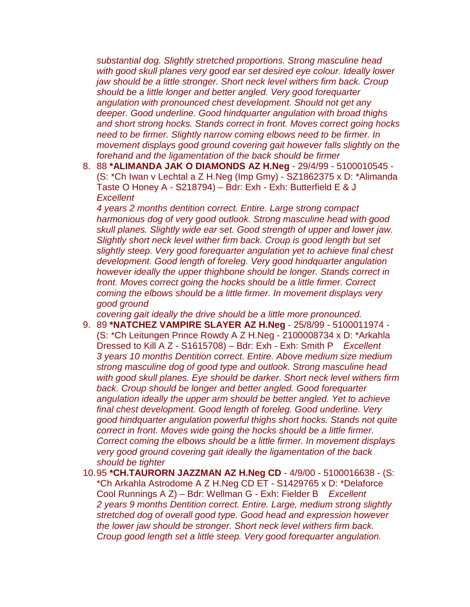*substantial dog. Slightly stretched proportions. Strong masculine head with good skull planes very good ear set desired eye colour. Ideally lower jaw should be a little stronger. Short neck level withers firm back. Croup should be a little longer and better angled. Very good forequarter angulation with pronounced chest development. Should not get any deeper. Good underline. Good hindquarter angulation with broad thighs and short strong hocks. Stands correct in front. Moves correct going hocks need to be firmer. Slightly narrow coming elbows need to be firmer. In movement displays good ground covering gait however falls slightly on the forehand and the ligamentation of the back should be firmer*

8. 88 **\*ALIMANDA JAK O DIAMONDS AZ H.Neg** - 29/4/99 - 5100010545 - (S: \*Ch Iwan v Lechtal a Z H.Neg (Imp Gmy) - SZ1862375 x D: \*Alimanda Taste O Honey A - S218794) – Bdr: Exh - Exh: Butterfield E & J *Excellent*

*4 years 2 months dentition correct. Entire. Large strong compact harmonious dog of very good outlook. Strong masculine head with good skull planes. Slightly wide ear set. Good strength of upper and lower jaw. Slightly short neck level wither firm back. Croup is good length but set slightly steep. Very good forequarter angulation yet to achieve final chest development. Good length of foreleg. Very good hindquarter angulation however ideally the upper thighbone should be longer. Stands correct in front. Moves correct going the hocks should be a little firmer. Correct coming the elbows should be a little firmer. In movement displays very good ground*

*covering gait ideally the drive should be a little more pronounced.* 

- 9. 89 **\*NATCHEZ VAMPIRE SLAYER AZ H.Neg**  25/8/99 5100011974 (S: \*Ch Leitungen Prince Rowdy A Z H.Neg - 2100008734 x D: \*Arkahla Dressed to Kill A Z - S1615708) – Bdr: Exh - Exh: Smith P *Excellent 3 years 10 months Dentition correct. Entire. Above medium size medium strong masculine dog of good type and outlook. Strong masculine head with good skull planes. Eye should be darker. Short neck level withers firm back. Croup should be longer and better angled. Good forequarter angulation ideally the upper arm should be better angled. Yet to achieve final chest development. Good length of foreleg. Good underline. Very good hindquarter angulation powerful thighs short hocks. Stands not quite correct in front. Moves wide going the hocks should be a little firmer. Correct coming the elbows should be a little firmer. In movement displays very good ground covering gait ideally the ligamentation of the back should be tighter*
- 10.95 **\*CH.TAURORN JAZZMAN AZ H.Neg CD**  4/9/00 5100016638 (S: \*Ch Arkahla Astrodome A Z H.Neg CD ET - S1429765 x D: \*Delaforce Cool Runnings A Z) – Bdr: Wellman G - Exh: Fielder B *Excellent 2 years 9 months Dentition correct. Entire. Large, medium strong slightly stretched dog of overall good type. Good head and expression however the lower jaw should be stronger. Short neck level withers firm back. Croup good length set a little steep. Very good forequarter angulation.*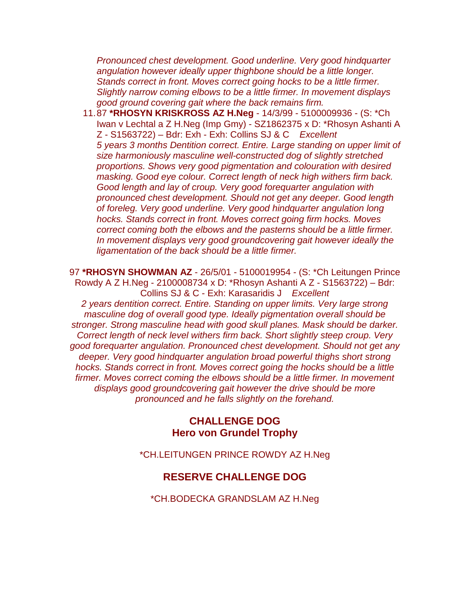*Pronounced chest development. Good underline. Very good hindquarter angulation however ideally upper thighbone should be a little longer. Stands correct in front. Moves correct going hocks to be a little firmer. Slightly narrow coming elbows to be a little firmer. In movement displays good ground covering gait where the back remains firm.* 

11.87 **\*RHOSYN KRISKROSS AZ H.Neg** - 14/3/99 - 5100009936 - (S: \*Ch Iwan v Lechtal a Z H.Neg (Imp Gmy) - SZ1862375 x D: \*Rhosyn Ashanti A Z - S1563722) – Bdr: Exh - Exh: Collins SJ & C *Excellent 5 years 3 months Dentition correct. Entire. Large standing on upper limit of size harmoniously masculine well-constructed dog of slightly stretched proportions. Shows very good pigmentation and colouration with desired masking. Good eye colour. Correct length of neck high withers firm back. Good length and lay of croup. Very good forequarter angulation with pronounced chest development. Should not get any deeper. Good length of foreleg. Very good underline. Very good hindquarter angulation long hocks. Stands correct in front. Moves correct going firm hocks. Moves correct coming both the elbows and the pasterns should be a little firmer. In movement displays very good groundcovering gait however ideally the ligamentation of the back should be a little firmer.* 

97 **\*RHOSYN SHOWMAN AZ** - 26/5/01 - 5100019954 - (S: \*Ch Leitungen Prince Rowdy A Z H.Neg - 2100008734 x D: \*Rhosyn Ashanti A Z - S1563722) – Bdr: Collins SJ & C - Exh: Karasaridis J *Excellent 2 years dentition correct. Entire. Standing on upper limits. Very large strong masculine dog of overall good type. Ideally pigmentation overall should be stronger. Strong masculine head with good skull planes. Mask should be darker. Correct length of neck level withers firm back. Short slightly steep croup. Very good forequarter angulation. Pronounced chest development. Should not get any deeper. Very good hindquarter angulation broad powerful thighs short strong hocks. Stands correct in front. Moves correct going the hocks should be a little firmer. Moves correct coming the elbows should be a little firmer. In movement displays good groundcovering gait however the drive should be more pronounced and he falls slightly on the forehand.*

#### **CHALLENGE DOG Hero von Grundel Trophy**

\*CH.LEITUNGEN PRINCE ROWDY AZ H.Neg

#### **RESERVE CHALLENGE DOG**

\*CH.BODECKA GRANDSLAM AZ H.Neg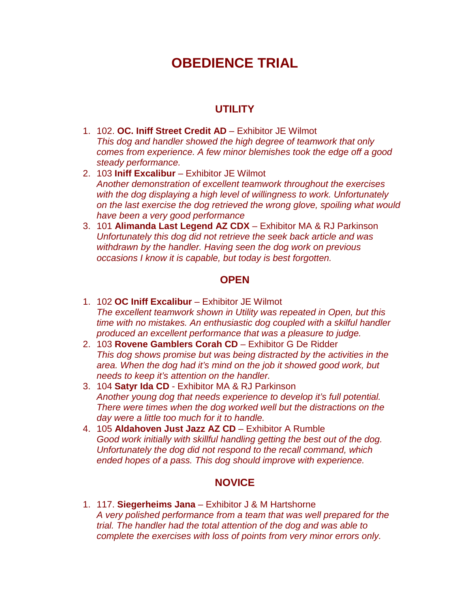# **OBEDIENCE TRIAL**

## **UTILITY**

- 1. 102. **OC. Iniff Street Credit AD**  Exhibitor JE Wilmot *This dog and handler showed the high degree of teamwork that only comes from experience. A few minor blemishes took the edge off a good steady performance.*
- 2. 103 **Iniff Excalibur**  Exhibitor JE Wilmot *Another demonstration of excellent teamwork throughout the exercises with the dog displaying a high level of willingness to work. Unfortunately on the last exercise the dog retrieved the wrong glove, spoiling what would have been a very good performance*
- 3. 101 **Alimanda Last Legend AZ CDX**  Exhibitor MA & RJ Parkinson *Unfortunately this dog did not retrieve the seek back article and was withdrawn by the handler. Having seen the dog work on previous occasions I know it is capable, but today is best forgotten.*

#### **OPEN**

- 1. 102 **OC Iniff Excalibur**  Exhibitor JE Wilmot *The excellent teamwork shown in Utility was repeated in Open, but this time with no mistakes. An enthusiastic dog coupled with a skilful handler produced an excellent performance that was a pleasure to judge.*
- 2. 103 **Rovene Gamblers Corah CD**  Exhibitor G De Ridder *This dog shows promise but was being distracted by the activities in the area. When the dog had it's mind on the job it showed good work, but needs to keep it's attention on the handler.*
- 3. 104 **Satyr Ida CD**  Exhibitor MA & RJ Parkinson *Another young dog that needs experience to develop it's full potential. There were times when the dog worked well but the distractions on the day were a little too much for it to handle.*
- 4. 105 **Aldahoven Just Jazz AZ CD**  Exhibitor A Rumble *Good work initially with skillful handling getting the best out of the dog. Unfortunately the dog did not respond to the recall command, which ended hopes of a pass. This dog should improve with experience.*

#### **NOVICE**

1. 117. **Siegerheims Jana** – Exhibitor J & M Hartshorne *A very polished performance from a team that was well prepared for the trial. The handler had the total attention of the dog and was able to complete the exercises with loss of points from very minor errors only.*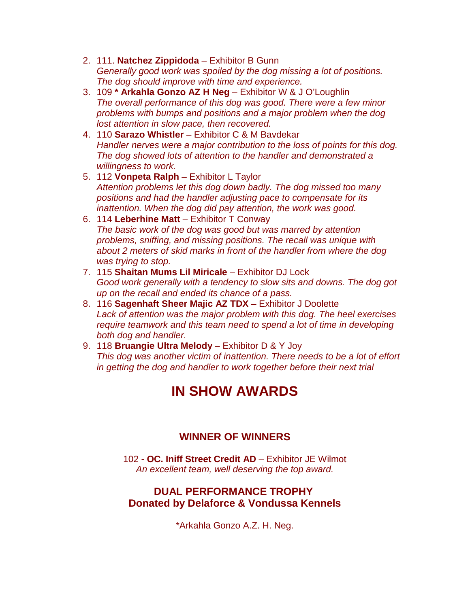- 2. 111. **Natchez Zippidoda** Exhibitor B Gunn *Generally good work was spoiled by the dog missing a lot of positions. The dog should improve with time and experience.*
- 3. 109 **\* Arkahla Gonzo AZ H Neg**  Exhibitor W & J O'Loughlin *The overall performance of this dog was good. There were a few minor problems with bumps and positions and a major problem when the dog lost attention in slow pace, then recovered.*
- 4. 110 **Sarazo Whistler**  Exhibitor C & M Bavdekar *Handler nerves were a major contribution to the loss of points for this dog. The dog showed lots of attention to the handler and demonstrated a willingness to work.*
- 5. 112 **Vonpeta Ralph**  Exhibitor L Taylor *Attention problems let this dog down badly. The dog missed too many positions and had the handler adjusting pace to compensate for its inattention. When the dog did pay attention, the work was good.*
- 6. 114 **Leberhine Matt**  Exhibitor T Conway *The basic work of the dog was good but was marred by attention problems, sniffing, and missing positions. The recall was unique with about 2 meters of skid marks in front of the handler from where the dog was trying to stop.*
- 7. 115 **Shaitan Mums Lil Miricale**  Exhibitor DJ Lock *Good work generally with a tendency to slow sits and downs. The dog got up on the recall and ended its chance of a pass.*
- 8. 116 **Sagenhaft Sheer Majic AZ TDX**  Exhibitor J Doolette *Lack of attention was the major problem with this dog. The heel exercises require teamwork and this team need to spend a lot of time in developing both dog and handler.*
- 9. 118 **Bruangie Ultra Melody**  Exhibitor D & Y Joy *This dog was another victim of inattention. There needs to be a lot of effort in getting the dog and handler to work together before their next trial*

# **IN SHOW AWARDS**

## **WINNER OF WINNERS**

102 - **OC. Iniff Street Credit AD** – Exhibitor JE Wilmot *An excellent team, well deserving the top award.*

## **DUAL PERFORMANCE TROPHY Donated by Delaforce & Vondussa Kennels**

\*Arkahla Gonzo A.Z. H. Neg.